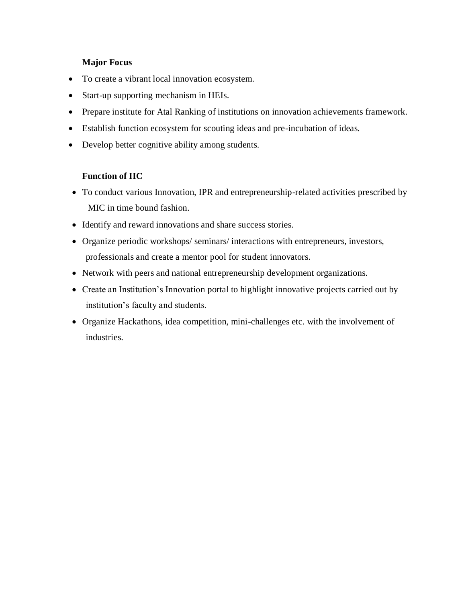## **Major Focus**

- To create a vibrant local innovation ecosystem.
- Start-up supporting mechanism in HEIs.
- Prepare institute for Atal Ranking of institutions on innovation achievements framework.
- Establish function ecosystem for scouting ideas and pre-incubation of ideas.
- Develop better cognitive ability among students.

## **Function of IIC**

- To conduct various Innovation, IPR and entrepreneurship-related activities prescribed by MIC in time bound fashion.
- Identify and reward innovations and share success stories.
- Organize periodic workshops/ seminars/ interactions with entrepreneurs, investors, professionals and create a mentor pool for student innovators.
- Network with peers and national entrepreneurship development organizations.
- Create an Institution's Innovation portal to highlight innovative projects carried out by institution's faculty and students.
- Organize Hackathons, idea competition, mini-challenges etc. with the involvement of industries.